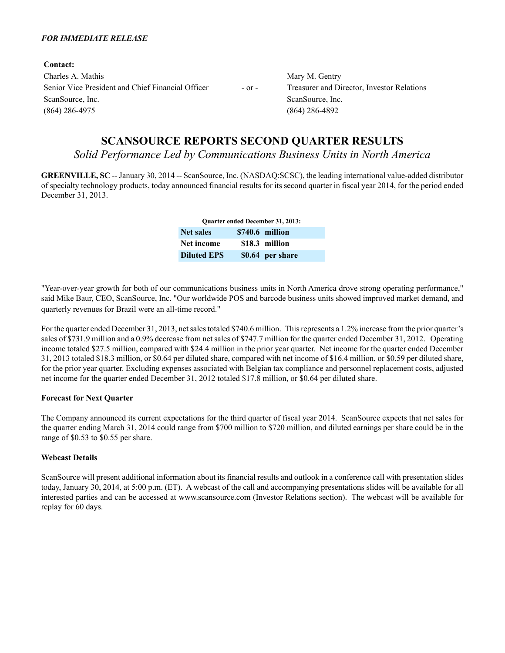### *FOR IMMEDIATE RELEASE*

**Contact:** Charles A. Mathis Mary M. Gentry Senior Vice President and Chief Financial Officer - or - Treasurer and Director, Investor Relations ScanSource, Inc. ScanSource, Inc. (864) 286-4975 (864) 286-4892

# **SCANSOURCE REPORTS SECOND QUARTER RESULTS**

*Solid Performance Led by Communications Business Units in North America*

**GREENVILLE, SC** -- January 30, 2014 -- ScanSource, Inc. (NASDAQ:SCSC), the leading international value-added distributor of specialty technology products, today announced financial results for its second quarter in fiscal year 2014, for the period ended December 31, 2013.

| <b>Ouarter ended December 31, 2013:</b> |  |                  |  |  |  |  |  |
|-----------------------------------------|--|------------------|--|--|--|--|--|
| <b>Net sales</b>                        |  | \$740.6 million  |  |  |  |  |  |
| Net income                              |  | \$18.3 million   |  |  |  |  |  |
| <b>Diluted EPS</b>                      |  | \$0.64 per share |  |  |  |  |  |

"Year-over-year growth for both of our communications business units in North America drove strong operating performance," said Mike Baur, CEO, ScanSource, Inc. "Our worldwide POS and barcode business units showed improved market demand, and quarterly revenues for Brazil were an all-time record."

For the quarter ended December 31, 2013, net sales totaled \$740.6 million. This represents a 1.2% increase from the prior quarter's sales of \$731.9 million and a 0.9% decrease from net sales of \$747.7 million for the quarter ended December 31, 2012. Operating income totaled \$27.5 million, compared with \$24.4 million in the prior year quarter. Net income for the quarter ended December 31, 2013 totaled \$18.3 million, or \$0.64 per diluted share, compared with net income of \$16.4 million, or \$0.59 per diluted share, for the prior year quarter. Excluding expenses associated with Belgian tax compliance and personnel replacement costs, adjusted net income for the quarter ended December 31, 2012 totaled \$17.8 million, or \$0.64 per diluted share.

### **Forecast for Next Quarter**

The Company announced its current expectations for the third quarter of fiscal year 2014. ScanSource expects that net sales for the quarter ending March 31, 2014 could range from \$700 million to \$720 million, and diluted earnings per share could be in the range of \$0.53 to \$0.55 per share.

### **Webcast Details**

ScanSource will present additional information about its financial results and outlook in a conference call with presentation slides today, January 30, 2014, at 5:00 p.m. (ET). A webcast of the call and accompanying presentations slides will be available for all interested parties and can be accessed at www.scansource.com (Investor Relations section). The webcast will be available for replay for 60 days.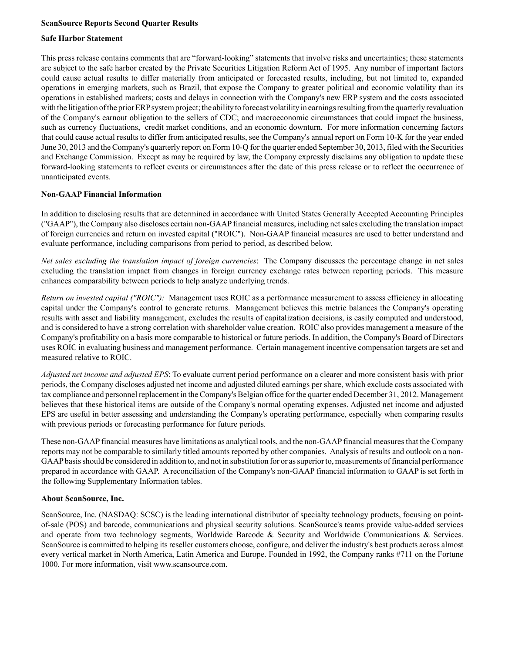### **ScanSource Reports Second Quarter Results**

### **Safe Harbor Statement**

This press release contains comments that are "forward-looking" statements that involve risks and uncertainties; these statements are subject to the safe harbor created by the Private Securities Litigation Reform Act of 1995. Any number of important factors could cause actual results to differ materially from anticipated or forecasted results, including, but not limited to, expanded operations in emerging markets, such as Brazil, that expose the Company to greater political and economic volatility than its operations in established markets; costs and delays in connection with the Company's new ERP system and the costs associated with the litigation of the prior ERPsystem project; the ability to forecast volatility in earnings resulting from the quarterly revaluation of the Company's earnout obligation to the sellers of CDC; and macroeconomic circumstances that could impact the business, such as currency fluctuations, credit market conditions, and an economic downturn. For more information concerning factors that could cause actual results to differ from anticipated results, see the Company's annual report on Form 10-K for the year ended June 30, 2013 and the Company's quarterly report on Form 10-Q for the quarter ended September 30, 2013, filed with the Securities and Exchange Commission. Except as may be required by law, the Company expressly disclaims any obligation to update these forward-looking statements to reflect events or circumstances after the date of this press release or to reflect the occurrence of unanticipated events.

### **Non-GAAP Financial Information**

In addition to disclosing results that are determined in accordance with United States Generally Accepted Accounting Principles ("GAAP"), the Company also discloses certain non-GAAPfinancial measures, including net sales excluding the translation impact of foreign currencies and return on invested capital ("ROIC"). Non-GAAP financial measures are used to better understand and evaluate performance, including comparisons from period to period, as described below.

*Net sales excluding the translation impact of foreign currencies*: The Company discusses the percentage change in net sales excluding the translation impact from changes in foreign currency exchange rates between reporting periods. This measure enhances comparability between periods to help analyze underlying trends.

*Return on invested capital ("ROIC"):* Management uses ROIC as a performance measurement to assess efficiency in allocating capital under the Company's control to generate returns. Management believes this metric balances the Company's operating results with asset and liability management, excludes the results of capitalization decisions, is easily computed and understood, and is considered to have a strong correlation with shareholder value creation. ROIC also provides management a measure of the Company's profitability on a basis more comparable to historical or future periods. In addition, the Company's Board of Directors uses ROIC in evaluating business and management performance. Certain management incentive compensation targets are set and measured relative to ROIC.

*Adjusted net income and adjusted EPS*: To evaluate current period performance on a clearer and more consistent basis with prior periods, the Company discloses adjusted net income and adjusted diluted earnings per share, which exclude costs associated with tax compliance and personnel replacement in the Company's Belgian office for the quarter ended December 31, 2012. Management believes that these historical items are outside of the Company's normal operating expenses. Adjusted net income and adjusted EPS are useful in better assessing and understanding the Company's operating performance, especially when comparing results with previous periods or forecasting performance for future periods.

These non-GAAPfinancial measures have limitations as analytical tools, and the non-GAAPfinancial measures that the Company reports may not be comparable to similarly titled amounts reported by other companies. Analysis of results and outlook on a non-GAAPbasis should be considered in addition to, and not in substitution for or as superior to, measurements of financial performance prepared in accordance with GAAP. A reconciliation of the Company's non-GAAPfinancial information to GAAPis set forth in the following Supplementary Information tables.

### **About ScanSource, Inc.**

ScanSource, Inc. (NASDAQ: SCSC) is the leading international distributor of specialty technology products, focusing on pointof-sale (POS) and barcode, communications and physical security solutions. ScanSource's teams provide value-added services and operate from two technology segments, Worldwide Barcode & Security and Worldwide Communications & Services. ScanSource is committed to helping its reseller customers choose, configure, and deliver the industry's best products across almost every vertical market in North America, Latin America and Europe. Founded in 1992, the Company ranks #711 on the Fortune 1000. For more information, visit www.scansource.com.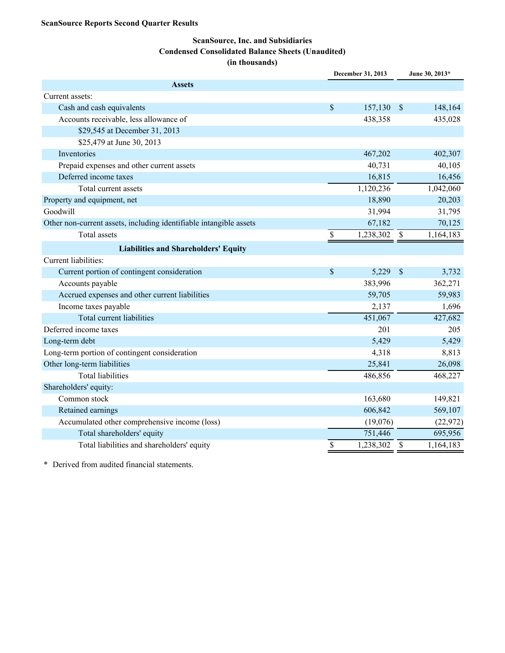## **ScanSource, Inc. and Subsidiaries Condensed Consolidated Balance Sheets (Unaudited) (in thousands)**

|                                                                    |              | December 31, 2013 |               | June 30, 2013* |
|--------------------------------------------------------------------|--------------|-------------------|---------------|----------------|
| <b>Assets</b>                                                      |              |                   |               |                |
| Current assets:                                                    |              |                   |               |                |
| Cash and cash equivalents                                          | \$           | 157,130           | $\mathcal{S}$ | 148,164        |
| Accounts receivable, less allowance of                             |              | 438,358           |               | 435,028        |
| \$29,545 at December 31, 2013                                      |              |                   |               |                |
| \$25,479 at June 30, 2013                                          |              |                   |               |                |
| Inventories                                                        |              | 467,202           |               | 402,307        |
| Prepaid expenses and other current assets                          |              | 40,731            |               | 40,105         |
| Deferred income taxes                                              |              | 16,815            |               | 16,456         |
| Total current assets                                               |              | 1,120,236         |               | 1,042,060      |
| Property and equipment, net                                        |              | 18,890            |               | 20,203         |
| Goodwill                                                           |              | 31,994            |               | 31,795         |
| Other non-current assets, including identifiable intangible assets |              | 67,182            |               | 70,125         |
| <b>Total assets</b>                                                | $\mathbb{S}$ | 1,238,302         | $\mathcal{S}$ | 1,164,183      |
| <b>Liabilities and Shareholders' Equity</b>                        |              |                   |               |                |
| Current liabilities:                                               |              |                   |               |                |
| Current portion of contingent consideration                        | \$           | 5,229             | <sup>S</sup>  | 3,732          |
| Accounts payable                                                   |              | 383,996           |               | 362,271        |
| Accrued expenses and other current liabilities                     |              | 59,705            |               | 59,983         |
| Income taxes payable                                               |              | 2,137             |               | 1,696          |
| <b>Total current liabilities</b>                                   |              | 451,067           |               | 427,682        |
| Deferred income taxes                                              |              | 201               |               | 205            |
| Long-term debt                                                     |              | 5,429             |               | 5,429          |
| Long-term portion of contingent consideration                      |              | 4,318             |               | 8,813          |
| Other long-term liabilities                                        |              | 25,841            |               | 26,098         |
| <b>Total liabilities</b>                                           |              | 486,856           |               | 468,227        |
| Shareholders' equity:                                              |              |                   |               |                |
| Common stock                                                       |              | 163,680           |               | 149,821        |
| Retained earnings                                                  |              | 606,842           |               | 569,107        |
| Accumulated other comprehensive income (loss)                      |              | (19,076)          |               | (22, 972)      |
| Total shareholders' equity                                         |              | 751,446           |               | 695,956        |
| Total liabilities and shareholders' equity                         | \$           | 1,238,302         | $\mathcal{S}$ | 1,164,183      |

\* Derived from audited financial statements.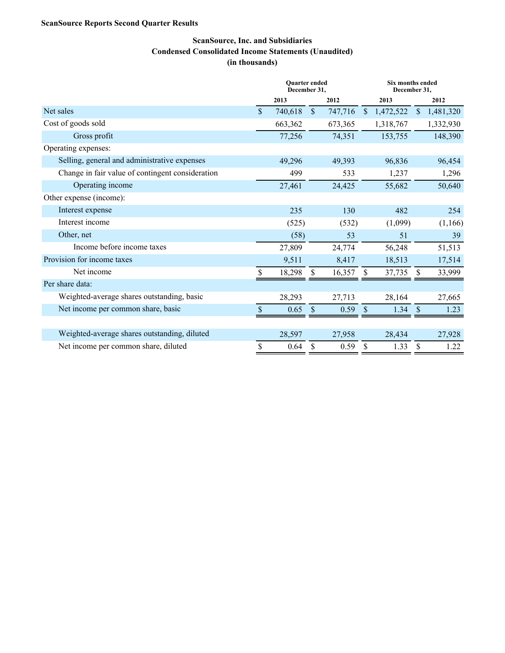# **ScanSource Reports Second Quarter Results**

## **ScanSource, Inc. and Subsidiaries Condensed Consolidated Income Statements (Unaudited) (in thousands)**

|                                                  |                    | <b>Ouarter</b> ended<br>December 31. |               |         |               | Six months ended<br>December 31. |              |           |  |
|--------------------------------------------------|--------------------|--------------------------------------|---------------|---------|---------------|----------------------------------|--------------|-----------|--|
|                                                  |                    | 2013<br>2012                         |               |         | 2013          |                                  | 2012         |           |  |
| Net sales                                        | $\mathbf{s}$       | 740,618                              | $\mathsf{\$}$ | 747,716 | <sup>\$</sup> | 1,472,522                        | $\mathbb{S}$ | 1,481,320 |  |
| Cost of goods sold                               |                    | 663,362                              |               | 673,365 |               | 1,318,767                        |              | 1,332,930 |  |
| Gross profit                                     |                    | 77,256                               |               | 74,351  |               | 153,755                          |              | 148,390   |  |
| Operating expenses:                              |                    |                                      |               |         |               |                                  |              |           |  |
| Selling, general and administrative expenses     |                    | 49,296                               |               | 49,393  |               | 96,836                           |              | 96,454    |  |
| Change in fair value of contingent consideration |                    | 499                                  |               | 533     |               | 1,237                            |              | 1,296     |  |
| Operating income                                 |                    | 27,461                               |               | 24,425  |               | 55,682                           |              | 50,640    |  |
| Other expense (income):                          |                    |                                      |               |         |               |                                  |              |           |  |
| Interest expense                                 |                    | 235                                  |               | 130     |               | 482                              |              | 254       |  |
| Interest income                                  |                    | (525)                                |               | (532)   |               | (1,099)                          |              | (1,166)   |  |
| Other, net                                       |                    | (58)                                 |               | 53      |               | 51                               |              | 39        |  |
| Income before income taxes                       |                    | 27,809                               |               | 24,774  |               | 56,248                           |              | 51,513    |  |
| Provision for income taxes                       |                    | 9,511                                |               | 8,417   |               | 18,513                           |              | 17,514    |  |
| Net income                                       | \$                 | 18,298                               | \$            | 16,357  | S             | 37,735                           | \$           | 33,999    |  |
| Per share data:                                  |                    |                                      |               |         |               |                                  |              |           |  |
| Weighted-average shares outstanding, basic       |                    | 28,293                               |               | 27,713  |               | 28,164                           |              | 27,665    |  |
| Net income per common share, basic               | $\mathbf{\hat{S}}$ | 0.65                                 | \$            | 0.59    | <sup>\$</sup> | 1.34                             | $\mathbb{S}$ | 1.23      |  |
|                                                  |                    |                                      |               |         |               |                                  |              |           |  |
| Weighted-average shares outstanding, diluted     |                    | 28,597                               |               | 27,958  |               | 28,434                           |              | 27,928    |  |
| Net income per common share, diluted             | \$                 | 0.64                                 | \$            | 0.59    | \$            | 1.33                             | \$           | 1.22      |  |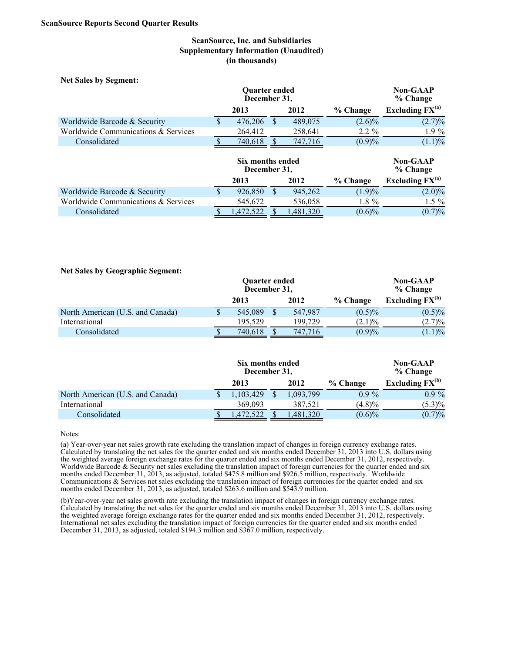### **ScanSource, Inc. and Subsidiaries Supplementary Information (Unaudited) (in thousands)**

| <b>Net Sales by Segment:</b>        |                                  |                                      |                      |          |           |                      |
|-------------------------------------|----------------------------------|--------------------------------------|----------------------|----------|-----------|----------------------|
|                                     |                                  | <b>Ouarter ended</b><br>December 31, | Non-GAAP<br>% Change |          |           |                      |
|                                     |                                  | 2013                                 |                      | 2012     | % Change  | Excluding $FX^{(a)}$ |
| Worldwide Barcode & Security        | <b>S</b>                         | 476,206                              | <sup>\$</sup>        | 489,075  | $(2.6)\%$ | (2.7)%               |
| Worldwide Communications & Services |                                  | 264,412                              |                      | 258,641  | $2.2\%$   | $1.9\%$              |
| Consolidated                        |                                  | 740,618                              |                      | 747,716  | (0.9)%    | (1.1)%               |
|                                     | Six months ended<br>December 31, |                                      |                      |          |           | Non-GAAP<br>% Change |
|                                     |                                  | 2013                                 |                      | 2012     | % Change  | Excluding $FX^{(a)}$ |
| Worldwide Barcode & Security        | \$.                              | 926,850                              | <sup>\$</sup>        | 945,262  | $(1.9)\%$ | $(2.0)\%$            |
| Worldwide Communications & Services |                                  | 545,672                              |                      | 536,058  | $1.8 \%$  | $1.5 \%$             |
| Consolidated                        |                                  | ,472,522                             |                      | ,481,320 | $(0.6)\%$ | (0.7)%               |

#### **Net Sales by Geographic Segment:**

|                                  |  | <b>Non-GAAP</b><br>% Change |         |           |                      |
|----------------------------------|--|-----------------------------|---------|-----------|----------------------|
|                                  |  | 2013                        | 2012    | % Change  | Excluding $FX^{(b)}$ |
| North American (U.S. and Canada) |  | 545,089                     | 547.987 | $(0.5)\%$ | $(0.5)\%$            |
| International                    |  | 195.529                     | 199.729 | $(2.1)\%$ | (2.7)%               |
| Consolidated                     |  | 740,618                     | 747.716 | (0.9)%    | (1.1)%               |

|                                  | Six months ended<br>December 31, | <b>Non-GAAP</b><br>% Change |           |                      |
|----------------------------------|----------------------------------|-----------------------------|-----------|----------------------|
|                                  | 2013                             | 2012                        | % Change  | Excluding $FX^{(b)}$ |
| North American (U.S. and Canada) | 1,103,429                        | 1.093.799                   | $0.9\%$   | $0.9\%$              |
| International                    | 369.093                          | 387.521                     | $(4.8)\%$ | $(5.3)\%$            |
| Consolidated                     | .472.522                         | .481,320                    | $(0.6)\%$ | (0.7)%               |

Notes:

(a) Year-over-year net sales growth rate excluding the translation impact of changes in foreign currency exchange rates. Calculated by translating the net sales for the quarter ended and six months ended December 31, 2013 into U.S. dollars using the weighted average foreign exchange rates for the quarter ended and six months ended December 31, 2012, respectively. Worldwide Barcode & Security net sales excluding the translation impact of foreign currencies for the quarter ended and six months ended December 31, 2013, as adjusted, totaled \$475.8 million and \$926.5 million, respectively. Worldwide Communications & Services net sales excluding the translation impact of foreign currencies for the quarter ended and six months ended December 31, 2013, as adjusted, totaled \$263.6 million and \$543.9 million.

(b)Year-over-year net sales growth rate excluding the translation impact of changes in foreign currency exchange rates. Calculated by translating the net sales for the quarter ended and six months ended December 31, 2013 into U.S. dollars using the weighted average foreign exchange rates for the quarter ended and six months ended December 31, 2012, respectively. International net sales excluding the translation impact of foreign currencies for the quarter ended and six months ended December 31, 2013, as adjusted, totaled \$194.3 million and \$367.0 million, respectively.